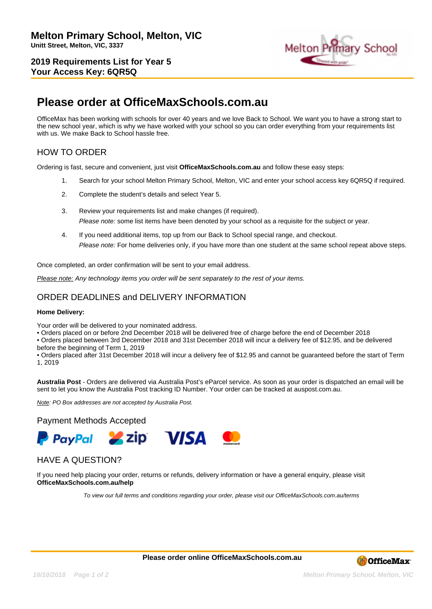**2019 Requirements List for Year 5 Your Access Key: 6QR5Q**



# **Please order at OfficeMaxSchools.com.au**

OfficeMax has been working with schools for over 40 years and we love Back to School. We want you to have a strong start to the new school year, which is why we have worked with your school so you can order everything from your requirements list with us. We make Back to School hassle free.

## HOW TO ORDER

Ordering is fast, secure and convenient, just visit **OfficeMaxSchools.com.au** and follow these easy steps:

- 1. Search for your school Melton Primary School, Melton, VIC and enter your school access key 6QR5Q if required.
- 2. Complete the student's details and select Year 5.
- 3. Review your requirements list and make changes (if required). Please note: some list items have been denoted by your school as a requisite for the subject or year.
- 4. If you need additional items, top up from our Back to School special range, and checkout. Please note: For home deliveries only, if you have more than one student at the same school repeat above steps.

Once completed, an order confirmation will be sent to your email address.

Please note: Any technology items you order will be sent separately to the rest of your items.

## ORDER DEADLINES and DELIVERY INFORMATION

#### **Home Delivery:**

Your order will be delivered to your nominated address.

• Orders placed on or before 2nd December 2018 will be delivered free of charge before the end of December 2018

• Orders placed between 3rd December 2018 and 31st December 2018 will incur a delivery fee of \$12.95, and be delivered before the beginning of Term 1, 2019

• Orders placed after 31st December 2018 will incur a delivery fee of \$12.95 and cannot be guaranteed before the start of Term 1, 2019

**Australia Post** - Orders are delivered via Australia Post's eParcel service. As soon as your order is dispatched an email will be sent to let you know the Australia Post tracking ID Number. Your order can be tracked at auspost.com.au.

Note: PO Box addresses are not accepted by Australia Post.

### Payment Methods Accepted



### HAVE A QUESTION?

If you need help placing your order, returns or refunds, delivery information or have a general enquiry, please visit **OfficeMaxSchools.com.au/help**

To view our full terms and conditions regarding your order, please visit our OfficeMaxSchools.com.au/terms

**Please order online OfficeMaxSchools.com.au**



**16/10/2018 Page 1 of 2 Melton Primary School, Melton, VIC**